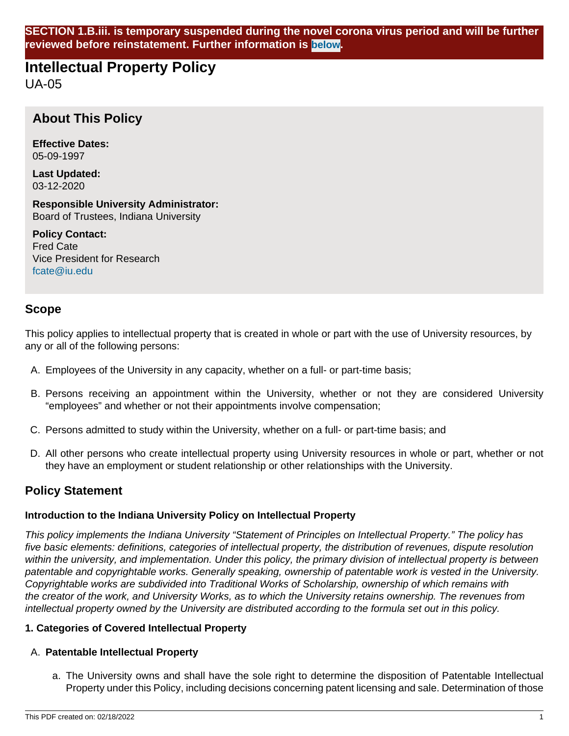**SECTION 1.B.iii. is temporary suspended during the novel corona virus period and will be further reviewed before reinstatement. Further information is [below](#page-1-0).**

# **Intellectual Property Policy**

UA-05

# **About This Policy**

**Effective Dates:** 05-09-1997

**Last Updated:** 03-12-2020

**Responsible University Administrator:** Board of Trustees, Indiana University

**Policy Contact:** Fred Cate Vice President for Research [fcate@iu.edu](mailto:fcate@iu.edu)

## **Scope**

This policy applies to intellectual property that is created in whole or part with the use of University resources, by any or all of the following persons:

- A. Employees of the University in any capacity, whether on a full- or part-time basis;
- B. Persons receiving an appointment within the University, whether or not they are considered University "employees" and whether or not their appointments involve compensation;
- C. Persons admitted to study within the University, whether on a full- or part-time basis; and
- D. All other persons who create intellectual property using University resources in whole or part, whether or not they have an employment or student relationship or other relationships with the University.

## **Policy Statement**

## **Introduction to the Indiana University Policy on Intellectual Property**

This policy implements the Indiana University "Statement of Principles on Intellectual Property." The policy has five basic elements: definitions, categories of intellectual property, the distribution of revenues, dispute resolution within the university, and implementation. Under this policy, the primary division of intellectual property is between patentable and copyrightable works. Generally speaking, ownership of patentable work is vested in the University. Copyrightable works are subdivided into Traditional Works of Scholarship, ownership of which remains with the creator of the work, and University Works, as to which the University retains ownership. The revenues from intellectual property owned by the University are distributed according to the formula set out in this policy.

## **1. Categories of Covered Intellectual Property**

## A. **Patentable Intellectual Property**

a. The University owns and shall have the sole right to determine the disposition of Patentable Intellectual Property under this Policy, including decisions concerning patent licensing and sale. Determination of those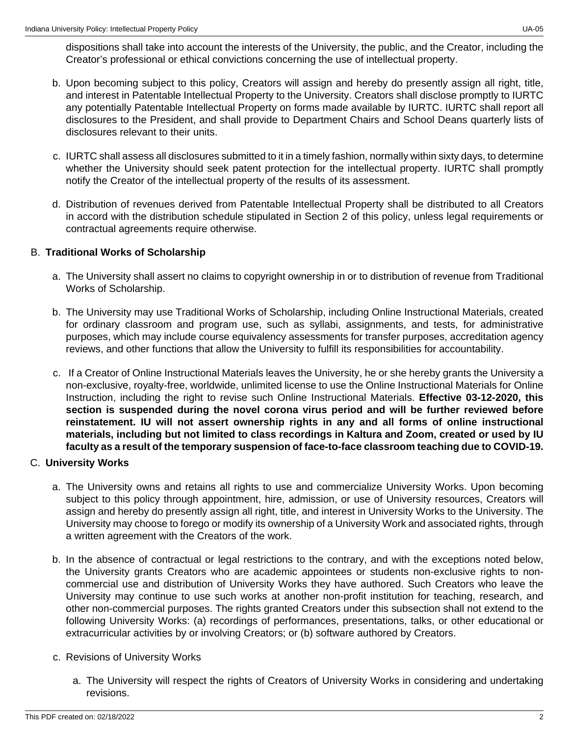dispositions shall take into account the interests of the University, the public, and the Creator, including the Creator's professional or ethical convictions concerning the use of intellectual property.

- b. Upon becoming subject to this policy, Creators will assign and hereby do presently assign all right, title, and interest in Patentable Intellectual Property to the University. Creators shall disclose promptly to IURTC any potentially Patentable Intellectual Property on forms made available by IURTC. IURTC shall report all disclosures to the President, and shall provide to Department Chairs and School Deans quarterly lists of disclosures relevant to their units.
- c. IURTC shall assess all disclosures submitted to it in a timely fashion, normally within sixty days, to determine whether the University should seek patent protection for the intellectual property. IURTC shall promptly notify the Creator of the intellectual property of the results of its assessment.
- d. Distribution of revenues derived from Patentable Intellectual Property shall be distributed to all Creators in accord with the distribution schedule stipulated in Section 2 of this policy, unless legal requirements or contractual agreements require otherwise.

## B. **Traditional Works of Scholarship**

- a. The University shall assert no claims to copyright ownership in or to distribution of revenue from Traditional Works of Scholarship.
- b. The University may use Traditional Works of Scholarship, including Online Instructional Materials, created for ordinary classroom and program use, such as syllabi, assignments, and tests, for administrative purposes, which may include course equivalency assessments for transfer purposes, accreditation agency reviews, and other functions that allow the University to fulfill its responsibilities for accountability.
- <span id="page-1-0"></span>c. If a Creator of Online Instructional Materials leaves the University, he or she hereby grants the University a non-exclusive, royalty-free, worldwide, unlimited license to use the Online Instructional Materials for Online Instruction, including the right to revise such Online Instructional Materials. **Effective 03-12-2020, this section is suspended during the novel corona virus period and will be further reviewed before reinstatement. IU will not assert ownership rights in any and all forms of online instructional materials, including but not limited to class recordings in Kaltura and Zoom, created or used by IU faculty as a result of the temporary suspension of face-to-face classroom teaching due to COVID-19.**

## C. **University Works**

- a. The University owns and retains all rights to use and commercialize University Works. Upon becoming subject to this policy through appointment, hire, admission, or use of University resources, Creators will assign and hereby do presently assign all right, title, and interest in University Works to the University. The University may choose to forego or modify its ownership of a University Work and associated rights, through a written agreement with the Creators of the work.
- b. In the absence of contractual or legal restrictions to the contrary, and with the exceptions noted below, the University grants Creators who are academic appointees or students non-exclusive rights to noncommercial use and distribution of University Works they have authored. Such Creators who leave the University may continue to use such works at another non-profit institution for teaching, research, and other non-commercial purposes. The rights granted Creators under this subsection shall not extend to the following University Works: (a) recordings of performances, presentations, talks, or other educational or extracurricular activities by or involving Creators; or (b) software authored by Creators.
- c. Revisions of University Works
	- a. The University will respect the rights of Creators of University Works in considering and undertaking revisions.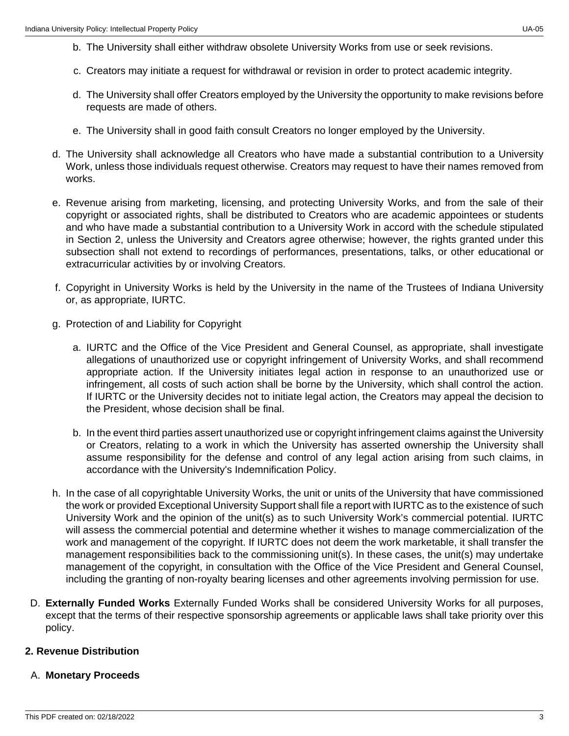- b. The University shall either withdraw obsolete University Works from use or seek revisions.
- c. Creators may initiate a request for withdrawal or revision in order to protect academic integrity.
- d. The University shall offer Creators employed by the University the opportunity to make revisions before requests are made of others.
- e. The University shall in good faith consult Creators no longer employed by the University.
- d. The University shall acknowledge all Creators who have made a substantial contribution to a University Work, unless those individuals request otherwise. Creators may request to have their names removed from works.
- e. Revenue arising from marketing, licensing, and protecting University Works, and from the sale of their copyright or associated rights, shall be distributed to Creators who are academic appointees or students and who have made a substantial contribution to a University Work in accord with the schedule stipulated in Section 2, unless the University and Creators agree otherwise; however, the rights granted under this subsection shall not extend to recordings of performances, presentations, talks, or other educational or extracurricular activities by or involving Creators.
- f. Copyright in University Works is held by the University in the name of the Trustees of Indiana University or, as appropriate, IURTC.
- g. Protection of and Liability for Copyright
	- a. IURTC and the Office of the Vice President and General Counsel, as appropriate, shall investigate allegations of unauthorized use or copyright infringement of University Works, and shall recommend appropriate action. If the University initiates legal action in response to an unauthorized use or infringement, all costs of such action shall be borne by the University, which shall control the action. If IURTC or the University decides not to initiate legal action, the Creators may appeal the decision to the President, whose decision shall be final.
	- b. In the event third parties assert unauthorized use or copyright infringement claims against the University or Creators, relating to a work in which the University has asserted ownership the University shall assume responsibility for the defense and control of any legal action arising from such claims, in accordance with the University's Indemnification Policy.
- h. In the case of all copyrightable University Works, the unit or units of the University that have commissioned the work or provided Exceptional University Support shall file a report with IURTC as to the existence of such University Work and the opinion of the unit(s) as to such University Work's commercial potential. IURTC will assess the commercial potential and determine whether it wishes to manage commercialization of the work and management of the copyright. If IURTC does not deem the work marketable, it shall transfer the management responsibilities back to the commissioning unit(s). In these cases, the unit(s) may undertake management of the copyright, in consultation with the Office of the Vice President and General Counsel, including the granting of non-royalty bearing licenses and other agreements involving permission for use.
- D. **Externally Funded Works** Externally Funded Works shall be considered University Works for all purposes, except that the terms of their respective sponsorship agreements or applicable laws shall take priority over this policy.

## **2. Revenue Distribution**

## A. **Monetary Proceeds**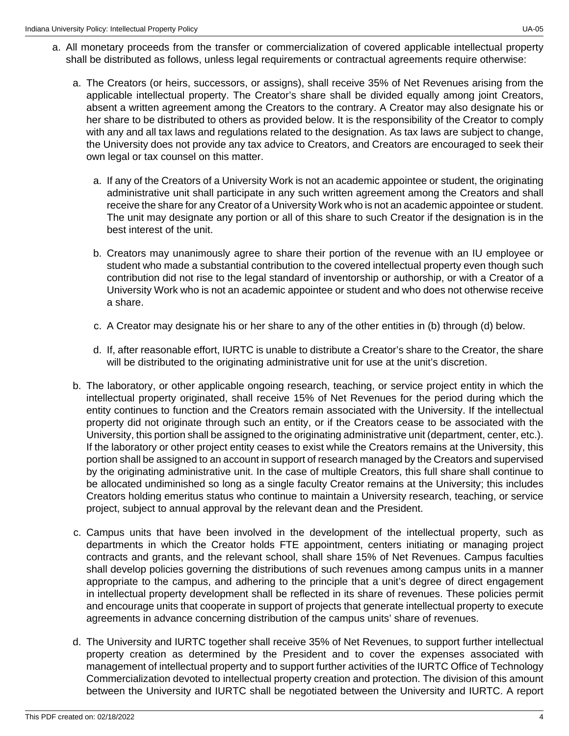- a. All monetary proceeds from the transfer or commercialization of covered applicable intellectual property shall be distributed as follows, unless legal requirements or contractual agreements require otherwise:
	- a. The Creators (or heirs, successors, or assigns), shall receive 35% of Net Revenues arising from the applicable intellectual property. The Creator's share shall be divided equally among joint Creators, absent a written agreement among the Creators to the contrary. A Creator may also designate his or her share to be distributed to others as provided below. It is the responsibility of the Creator to comply with any and all tax laws and regulations related to the designation. As tax laws are subject to change, the University does not provide any tax advice to Creators, and Creators are encouraged to seek their own legal or tax counsel on this matter.
		- a. If any of the Creators of a University Work is not an academic appointee or student, the originating administrative unit shall participate in any such written agreement among the Creators and shall receive the share for any Creator of a University Work who is not an academic appointee or student. The unit may designate any portion or all of this share to such Creator if the designation is in the best interest of the unit.
		- b. Creators may unanimously agree to share their portion of the revenue with an IU employee or student who made a substantial contribution to the covered intellectual property even though such contribution did not rise to the legal standard of inventorship or authorship, or with a Creator of a University Work who is not an academic appointee or student and who does not otherwise receive a share.
		- c. A Creator may designate his or her share to any of the other entities in (b) through (d) below.
		- d. If, after reasonable effort, IURTC is unable to distribute a Creator's share to the Creator, the share will be distributed to the originating administrative unit for use at the unit's discretion.
	- b. The laboratory, or other applicable ongoing research, teaching, or service project entity in which the intellectual property originated, shall receive 15% of Net Revenues for the period during which the entity continues to function and the Creators remain associated with the University. If the intellectual property did not originate through such an entity, or if the Creators cease to be associated with the University, this portion shall be assigned to the originating administrative unit (department, center, etc.). If the laboratory or other project entity ceases to exist while the Creators remains at the University, this portion shall be assigned to an account in support of research managed by the Creators and supervised by the originating administrative unit. In the case of multiple Creators, this full share shall continue to be allocated undiminished so long as a single faculty Creator remains at the University; this includes Creators holding emeritus status who continue to maintain a University research, teaching, or service project, subject to annual approval by the relevant dean and the President.
	- c. Campus units that have been involved in the development of the intellectual property, such as departments in which the Creator holds FTE appointment, centers initiating or managing project contracts and grants, and the relevant school, shall share 15% of Net Revenues. Campus faculties shall develop policies governing the distributions of such revenues among campus units in a manner appropriate to the campus, and adhering to the principle that a unit's degree of direct engagement in intellectual property development shall be reflected in its share of revenues. These policies permit and encourage units that cooperate in support of projects that generate intellectual property to execute agreements in advance concerning distribution of the campus units' share of revenues.
	- d. The University and IURTC together shall receive 35% of Net Revenues, to support further intellectual property creation as determined by the President and to cover the expenses associated with management of intellectual property and to support further activities of the IURTC Office of Technology Commercialization devoted to intellectual property creation and protection. The division of this amount between the University and IURTC shall be negotiated between the University and IURTC. A report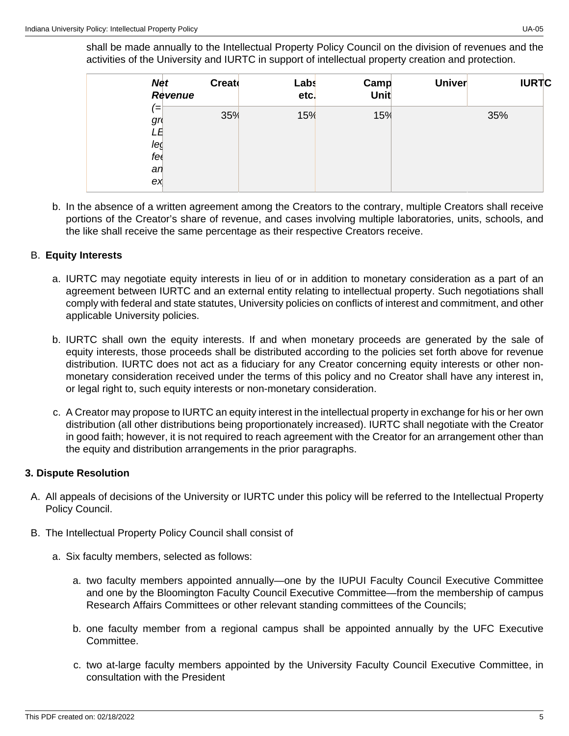shall be made annually to the Intellectual Property Policy Council on the division of revenues and the activities of the University and IURTC in support of intellectual property creation and protection.

|                                                          | <b>Creato</b><br><b>Net</b><br>Revenue | Labs<br>etc. | Camp<br>Unit | <b>Univer</b> | <b>IURTC</b> |
|----------------------------------------------------------|----------------------------------------|--------------|--------------|---------------|--------------|
| $\! =$<br>gr <sub>0</sub><br>LE<br>leg<br>fe<br>an<br>ex | 35%                                    | 15%          | 15%          |               | 35%          |

b. In the absence of a written agreement among the Creators to the contrary, multiple Creators shall receive portions of the Creator's share of revenue, and cases involving multiple laboratories, units, schools, and the like shall receive the same percentage as their respective Creators receive.

## B. **Equity Interests**

- a. IURTC may negotiate equity interests in lieu of or in addition to monetary consideration as a part of an agreement between IURTC and an external entity relating to intellectual property. Such negotiations shall comply with federal and state statutes, University policies on conflicts of interest and commitment, and other applicable University policies.
- b. IURTC shall own the equity interests. If and when monetary proceeds are generated by the sale of equity interests, those proceeds shall be distributed according to the policies set forth above for revenue distribution. IURTC does not act as a fiduciary for any Creator concerning equity interests or other nonmonetary consideration received under the terms of this policy and no Creator shall have any interest in, or legal right to, such equity interests or non-monetary consideration.
- c. A Creator may propose to IURTC an equity interest in the intellectual property in exchange for his or her own distribution (all other distributions being proportionately increased). IURTC shall negotiate with the Creator in good faith; however, it is not required to reach agreement with the Creator for an arrangement other than the equity and distribution arrangements in the prior paragraphs.

## **3. Dispute Resolution**

- A. All appeals of decisions of the University or IURTC under this policy will be referred to the Intellectual Property Policy Council.
- B. The Intellectual Property Policy Council shall consist of
	- a. Six faculty members, selected as follows:
		- a. two faculty members appointed annually—one by the IUPUI Faculty Council Executive Committee and one by the Bloomington Faculty Council Executive Committee—from the membership of campus Research Affairs Committees or other relevant standing committees of the Councils;
		- b. one faculty member from a regional campus shall be appointed annually by the UFC Executive Committee.
		- c. two at-large faculty members appointed by the University Faculty Council Executive Committee, in consultation with the President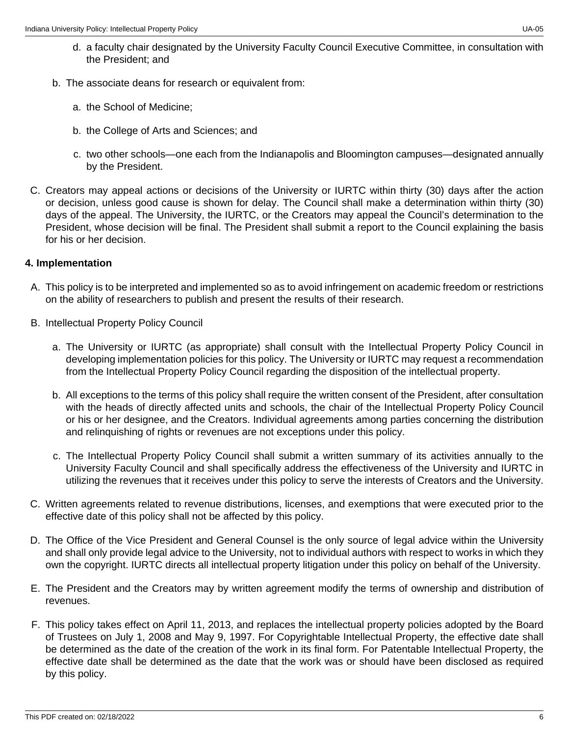- b. The associate deans for research or equivalent from:
	- a. the School of Medicine;
	- b. the College of Arts and Sciences; and
	- c. two other schools—one each from the Indianapolis and Bloomington campuses—designated annually by the President.
- C. Creators may appeal actions or decisions of the University or IURTC within thirty (30) days after the action or decision, unless good cause is shown for delay. The Council shall make a determination within thirty (30) days of the appeal. The University, the IURTC, or the Creators may appeal the Council's determination to the President, whose decision will be final. The President shall submit a report to the Council explaining the basis for his or her decision.

## **4. Implementation**

- A. This policy is to be interpreted and implemented so as to avoid infringement on academic freedom or restrictions on the ability of researchers to publish and present the results of their research.
- B. Intellectual Property Policy Council
	- a. The University or IURTC (as appropriate) shall consult with the Intellectual Property Policy Council in developing implementation policies for this policy. The University or IURTC may request a recommendation from the Intellectual Property Policy Council regarding the disposition of the intellectual property.
	- b. All exceptions to the terms of this policy shall require the written consent of the President, after consultation with the heads of directly affected units and schools, the chair of the Intellectual Property Policy Council or his or her designee, and the Creators. Individual agreements among parties concerning the distribution and relinquishing of rights or revenues are not exceptions under this policy.
	- c. The Intellectual Property Policy Council shall submit a written summary of its activities annually to the University Faculty Council and shall specifically address the effectiveness of the University and IURTC in utilizing the revenues that it receives under this policy to serve the interests of Creators and the University.
- C. Written agreements related to revenue distributions, licenses, and exemptions that were executed prior to the effective date of this policy shall not be affected by this policy.
- D. The Office of the Vice President and General Counsel is the only source of legal advice within the University and shall only provide legal advice to the University, not to individual authors with respect to works in which they own the copyright. IURTC directs all intellectual property litigation under this policy on behalf of the University.
- E. The President and the Creators may by written agreement modify the terms of ownership and distribution of revenues.
- F. This policy takes effect on April 11, 2013, and replaces the intellectual property policies adopted by the Board of Trustees on July 1, 2008 and May 9, 1997. For Copyrightable Intellectual Property, the effective date shall be determined as the date of the creation of the work in its final form. For Patentable Intellectual Property, the effective date shall be determined as the date that the work was or should have been disclosed as required by this policy.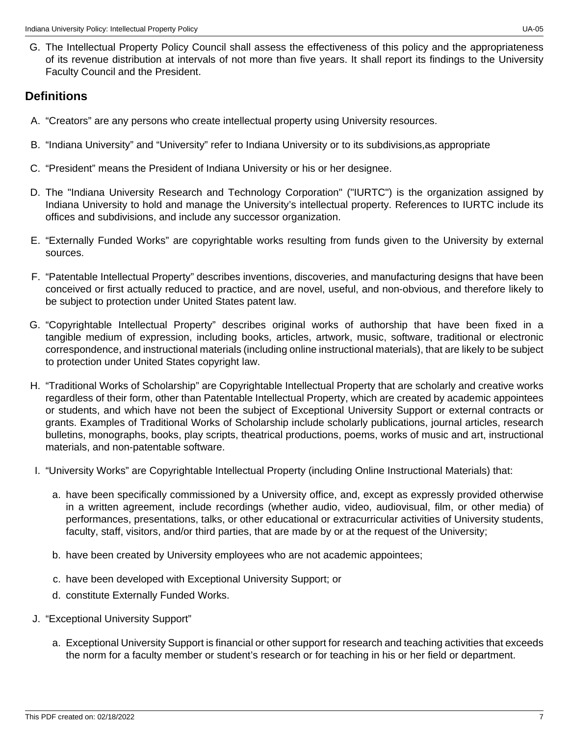G. The Intellectual Property Policy Council shall assess the effectiveness of this policy and the appropriateness of its revenue distribution at intervals of not more than five years. It shall report its findings to the University Faculty Council and the President.

## **Definitions**

- A. "Creators" are any persons who create intellectual property using University resources.
- B. "Indiana University" and "University" refer to Indiana University or to its subdivisions,as appropriate
- C. "President" means the President of Indiana University or his or her designee.
- D. The "Indiana University Research and Technology Corporation" ("IURTC") is the organization assigned by Indiana University to hold and manage the University's intellectual property. References to IURTC include its offices and subdivisions, and include any successor organization.
- E. "Externally Funded Works" are copyrightable works resulting from funds given to the University by external sources.
- F. "Patentable Intellectual Property" describes inventions, discoveries, and manufacturing designs that have been conceived or first actually reduced to practice, and are novel, useful, and non-obvious, and therefore likely to be subject to protection under United States patent law.
- G. "Copyrightable Intellectual Property" describes original works of authorship that have been fixed in a tangible medium of expression, including books, articles, artwork, music, software, traditional or electronic correspondence, and instructional materials (including online instructional materials), that are likely to be subject to protection under United States copyright law.
- H. "Traditional Works of Scholarship" are Copyrightable Intellectual Property that are scholarly and creative works regardless of their form, other than Patentable Intellectual Property, which are created by academic appointees or students, and which have not been the subject of Exceptional University Support or external contracts or grants. Examples of Traditional Works of Scholarship include scholarly publications, journal articles, research bulletins, monographs, books, play scripts, theatrical productions, poems, works of music and art, instructional materials, and non-patentable software.
- I. "University Works" are Copyrightable Intellectual Property (including Online Instructional Materials) that:
	- a. have been specifically commissioned by a University office, and, except as expressly provided otherwise in a written agreement, include recordings (whether audio, video, audiovisual, film, or other media) of performances, presentations, talks, or other educational or extracurricular activities of University students, faculty, staff, visitors, and/or third parties, that are made by or at the request of the University;
	- b. have been created by University employees who are not academic appointees;
	- c. have been developed with Exceptional University Support; or
	- d. constitute Externally Funded Works.
- J. "Exceptional University Support"
	- a. Exceptional University Support is financial or other support for research and teaching activities that exceeds the norm for a faculty member or student's research or for teaching in his or her field or department.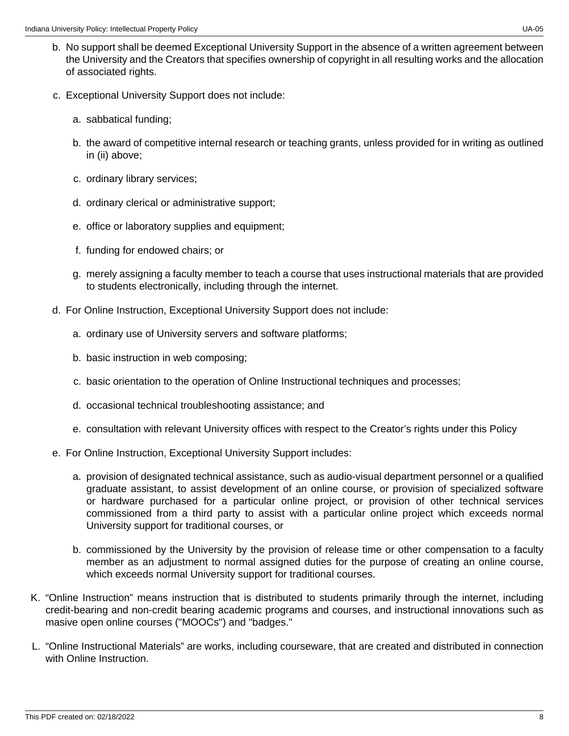- b. No support shall be deemed Exceptional University Support in the absence of a written agreement between the University and the Creators that specifies ownership of copyright in all resulting works and the allocation of associated rights.
- c. Exceptional University Support does not include:
	- a. sabbatical funding;
	- b. the award of competitive internal research or teaching grants, unless provided for in writing as outlined in (ii) above;
	- c. ordinary library services;
	- d. ordinary clerical or administrative support;
	- e. office or laboratory supplies and equipment;
	- f. funding for endowed chairs; or
	- g. merely assigning a faculty member to teach a course that uses instructional materials that are provided to students electronically, including through the internet.
- d. For Online Instruction, Exceptional University Support does not include:
	- a. ordinary use of University servers and software platforms;
	- b. basic instruction in web composing;
	- c. basic orientation to the operation of Online Instructional techniques and processes;
	- d. occasional technical troubleshooting assistance; and
	- e. consultation with relevant University offices with respect to the Creator's rights under this Policy
- e. For Online Instruction, Exceptional University Support includes:
	- a. provision of designated technical assistance, such as audio-visual department personnel or a qualified graduate assistant, to assist development of an online course, or provision of specialized software or hardware purchased for a particular online project, or provision of other technical services commissioned from a third party to assist with a particular online project which exceeds normal University support for traditional courses, or
	- b. commissioned by the University by the provision of release time or other compensation to a faculty member as an adjustment to normal assigned duties for the purpose of creating an online course, which exceeds normal University support for traditional courses.
- K. "Online Instruction" means instruction that is distributed to students primarily through the internet, including credit-bearing and non-credit bearing academic programs and courses, and instructional innovations such as masive open online courses ("MOOCs") and "badges."
- L. "Online Instructional Materials" are works, including courseware, that are created and distributed in connection with Online Instruction.